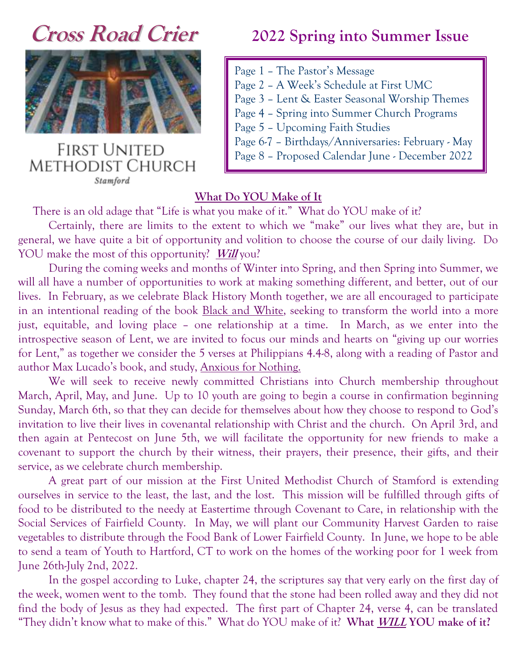

**FIRST UNITED METHODIST CHURCH** Stamford

# **Cross Road Crier 2022 Spring into Summer Issue**

- Page 1 The Pastor's Message
- Page 2 A Week's Schedule at First UMC
- Page 3 Lent & Easter Seasonal Worship Themes
- Page 4 Spring into Summer Church Programs
- Page 5 Upcoming Faith Studies
- Page 6-7 Birthdays/Anniversaries: February May
- Page 8 Proposed Calendar June December 2022

### **What Do YOU Make of It**

There is an old adage that "Life is what you make of it." What do YOU make of it?

Certainly, there are limits to the extent to which we "make" our lives what they are, but in general, we have quite a bit of opportunity and volition to choose the course of our daily living. Do YOU make the most of this opportunity? **Will** you?

During the coming weeks and months of Winter into Spring, and then Spring into Summer, we will all have a number of opportunities to work at making something different, and better, out of our lives. In February, as we celebrate Black History Month together, we are all encouraged to participate in an intentional reading of the book Black and White, seeking to transform the world into a more just, equitable, and loving place – one relationship at a time. In March, as we enter into the introspective season of Lent, we are invited to focus our minds and hearts on "giving up our worries for Lent," as together we consider the 5 verses at Philippians 4.4-8, along with a reading of Pastor and author Max Lucado's book, and study, Anxious for Nothing.

We will seek to receive newly committed Christians into Church membership throughout March, April, May, and June. Up to 10 youth are going to begin a course in confirmation beginning Sunday, March 6th, so that they can decide for themselves about how they choose to respond to God's invitation to live their lives in covenantal relationship with Christ and the church. On April 3rd, and then again at Pentecost on June 5th, we will facilitate the opportunity for new friends to make a covenant to support the church by their witness, their prayers, their presence, their gifts, and their service, as we celebrate church membership.

A great part of our mission at the First United Methodist Church of Stamford is extending ourselves in service to the least, the last, and the lost. This mission will be fulfilled through gifts of food to be distributed to the needy at Eastertime through Covenant to Care, in relationship with the Social Services of Fairfield County. In May, we will plant our Community Harvest Garden to raise vegetables to distribute through the Food Bank of Lower Fairfield County. In June, we hope to be able to send a team of Youth to Hartford, CT to work on the homes of the working poor for 1 week from June 26th-July 2nd, 2022.

In the gospel according to Luke, chapter 24, the scriptures say that very early on the first day of the week, women went to the tomb. They found that the stone had been rolled away and they did not find the body of Jesus as they had expected. The first part of Chapter 24, verse 4, can be translated "They didn't know what to make of this." What do YOU make of it? **What WILL YOU make of it?**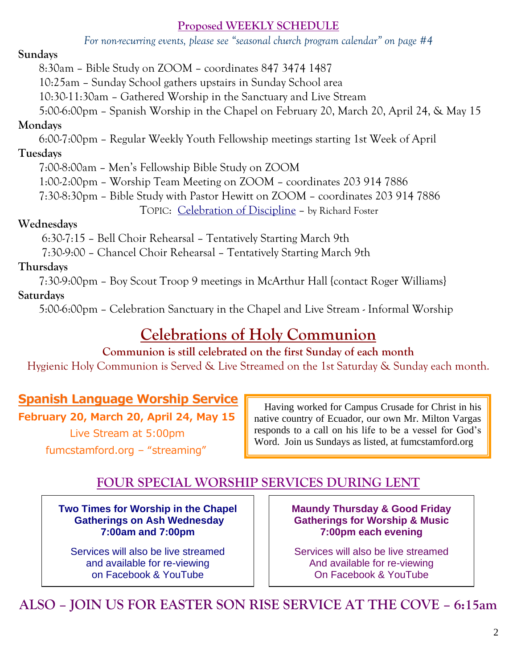### **Proposed WEEKLY SCHEDULE**

*For non-recurring events, please see "seasonal church program calendar" on page #4*

# **Sundays**

8:30am – Bible Study on ZOOM – coordinates 847 3474 1487

10:25am – Sunday School gathers upstairs in Sunday School area

10:30-11:30am – Gathered Worship in the Sanctuary and Live Stream

5:00-6:00pm – Spanish Worship in the Chapel on February 20, March 20, April 24, & May 15

# **Mondays**

6:00-7:00pm – Regular Weekly Youth Fellowship meetings starting 1st Week of April

# **Tuesdays**

7:00-8:00am – Men's Fellowship Bible Study on ZOOM

1:00-2:00pm – Worship Team Meeting on ZOOM – coordinates 203 914 7886

7:30-8:30pm – Bible Study with Pastor Hewitt on ZOOM – coordinates 203 914 7886

TOPIC: Celebration of Discipline – by Richard Foster

# **Wednesdays**

6:30-7:15 – Bell Choir Rehearsal – Tentatively Starting March 9th

7:30-9:00 – Chancel Choir Rehearsal – Tentatively Starting March 9th

# **Thursdays**

7:30-9:00pm – Boy Scout Troop 9 meetings in McArthur Hall {contact Roger Williams}

# **Saturdays**

5:00-6:00pm – Celebration Sanctuary in the Chapel and Live Stream - Informal Worship

# **Celebrations of Holy Communion**

# **Communion is still celebrated on the first Sunday of each month**

Hygienic Holy Communion is Served & Live Streamed on the 1st Saturday & Sunday each month.

# **Spanish Language Worship Service**

# **February 20, March 20, April 24, May 15**

 Live Stream at 5:00pm fumcstamford.org – "streaming"

 Having worked for Campus Crusade for Christ in his native country of Ecuador, our own Mr. Milton Vargas responds to a call on his life to be a vessel for God's Word. Join us Sundays as listed, at fumcstamford.org

# **FOUR SPECIAL WORSHIP SERVICES DURING LENT**

**Two Times for Worship in the Chapel Gatherings on Ash Wednesday 7:00am and 7:00pm**

Services will also be live streamed and available for re-viewing on Facebook & YouTube

**Maundy Thursday & Good Friday Gatherings for Worship & Music 7:00pm each evening**

Services will also be live streamed And available for re-viewing On Facebook & YouTube

# **ALSO – JOIN US FOR EASTER SON RISE SERVICE AT THE COVE – 6:15am**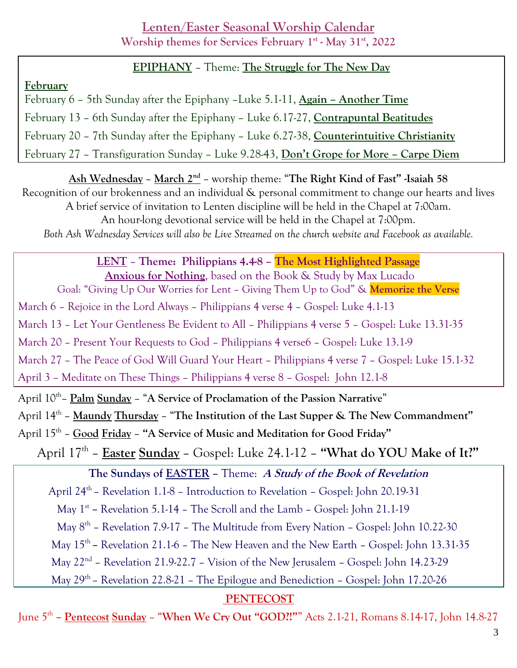# **Lenten/Easter Seasonal Worship Calendar**

**Worship themes for Services February 1 st - May 31st, 2022**

# **EPIPHANY** – Theme: **The Struggle for The New Day**

# **February**

February 6 – 5th Sunday after the Epiphany –Luke 5.1-11, **Again – Another Time** February 13 – 6th Sunday after the Epiphany – Luke 6.17-27, **Contrapuntal Beatitudes** February 20 – 7th Sunday after the Epiphany – Luke 6.27-38, **Counterintuitive Christianity** February 27 – Transfiguration Sunday – Luke 9.28-43, **Don't Grope for More – Carpe Diem**

**Ash Wednesday** – **March 2nd** – worship theme: "**The Right Kind of Fast" -Isaiah 58** Recognition of our brokenness and an individual & personal commitment to change our hearts and lives A brief service of invitation to Lenten discipline will be held in the Chapel at 7:00am. An hour-long devotional service will be held in the Chapel at 7:00pm. *Both Ash Wednesday Services will also be Live Streamed on the church website and Facebook as available.*

**LENT** – **Theme: Philippians 4.4-8 – The Most Highlighted Passage Anxious for Nothing**, based on the Book & Study by Max Lucado Goal: "Giving Up Our Worries for Lent – Giving Them Up to God" & **Memorize the Verse** March 6 – Rejoice in the Lord Always – Philippians 4 verse 4 – Gospel: Luke 4.1-13

March 13 – Let Your Gentleness Be Evident to All – Philippians 4 verse 5 – Gospel: Luke 13.31-35

March 20 – Present Your Requests to God – Philippians 4 verse6 – Gospel: Luke 13.1-9

March 27 – The Peace of God Will Guard Your Heart – Philippians 4 verse 7 – Gospel: Luke 15.1-32

April 3 – Meditate on These Things – Philippians 4 verse 8 – Gospel: John 12.1-8

April 10th – **Palm Sunday** – "**A Service of Proclamation of the Passion Narrative**"

April 14 th – **Maundy Thursday** – "**The Institution of the Last Supper & The New Commandment"**

April 15th – **Good Friday** – **"A Service of Music and Meditation for Good Friday"**

April 17th – **Easter Sunday** – Gospel: Luke 24.1-12 – **"What do YOU Make of It?"**

# **The Sundays of EASTER –** Theme: **A Study of the Book of Revelation**

April 24<sup>th</sup> – Revelation 1.1-8 – Introduction to Revelation – Gospel: John 20.19-31

May 1<sup>st</sup> – Revelation 5.1-14 – The Scroll and the Lamb – Gospel: John 21.1-19

May  $8<sup>th</sup>$  – Revelation 7.9-17 – The Multitude from Every Nation – Gospel: John 10.22-30

May 15<sup>th</sup> – Revelation 21.1-6 – The New Heaven and the New Earth – Gospel: John 13.31-35

May 22nd – Revelation 21.9-22.7 – Vision of the New Jerusalem – Gospel: John 14.23-29

May 29<sup>th</sup> – Revelation 22.8-21 – The Epilogue and Benediction – Gospel: John 17.20-26

# **PENTECOST**

June 5th **– Pentecost Sunday** – "**When We Cry Out "GOD?!"**" Acts 2.1-21, Romans 8.14-17, John 14.8-27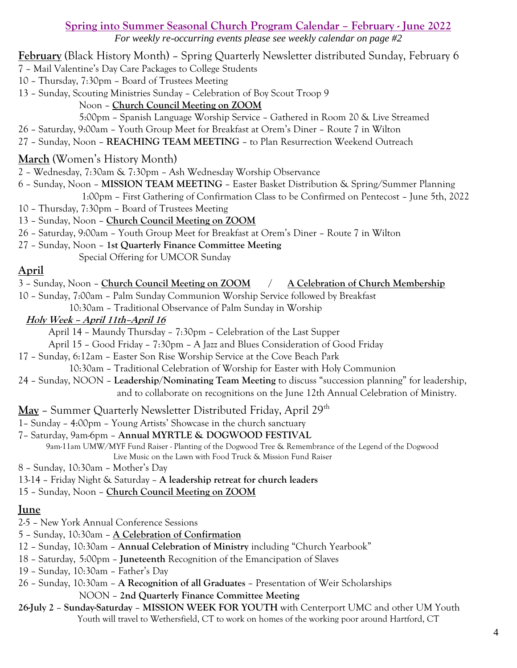#### **Spring into Summer Seasonal Church Program Calendar – February - June 2022**

*For weekly re-occurring events please see weekly calendar on page #2*

**February** (Black History Month) – Spring Quarterly Newsletter distributed Sunday, February 6

- 7 Mail Valentine's Day Care Packages to College Students
- 10 Thursday, 7:30pm Board of Trustees Meeting
- 13 Sunday, Scouting Ministries Sunday Celebration of Boy Scout Troop 9

### Noon – **Church Council Meeting on ZOOM**

- 5:00pm Spanish Language Worship Service Gathered in Room 20 & Live Streamed
- 26 Saturday, 9:00am Youth Group Meet for Breakfast at Orem's Diner Route 7 in Wilton
- 27 Sunday, Noon **REACHING TEAM MEETING** to Plan Resurrection Weekend Outreach

# **March** (Women's History Month)

- 2 Wednesday, 7:30am & 7:30pm Ash Wednesday Worship Observance
- 6 Sunday, Noon **MISSION TEAM MEETING** Easter Basket Distribution & Spring/Summer Planning 1:00pm – First Gathering of Confirmation Class to be Confirmed on Pentecost – June 5th, 2022
- 10 Thursday, 7:30pm Board of Trustees Meeting
- 13 Sunday, Noon **Church Council Meeting on ZOOM**
- 26 Saturday, 9:00am Youth Group Meet for Breakfast at Orem's Diner Route 7 in Wilton
- 27 Sunday, Noon **1st Quarterly Finance Committee Meeting**
	- Special Offering for UMCOR Sunday

# **April**

- 3 Sunday, Noon **Church Council Meeting on ZOOM / A Celebration of Church Membership**
- 10 Sunday, 7:00am Palm Sunday Communion Worship Service followed by Breakfast
	- 10:30am Traditional Observance of Palm Sunday in Worship

## **Holy Week – April 11th–April 16**

- April 14 Maundy Thursday 7:30pm Celebration of the Last Supper
- April 15 Good Friday 7:30pm A Jazz and Blues Consideration of Good Friday
- 17 Sunday, 6:12am Easter Son Rise Worship Service at the Cove Beach Park
	- 10:30am Traditional Celebration of Worship for Easter with Holy Communion
- 24 Sunday, NOON **Leadership/Nominating Team Meeting** to discuss "succession planning" for leadership, and to collaborate on recognitions on the June 12th Annual Celebration of Ministry.
- May Summer Quarterly Newsletter Distributed Friday, April 29<sup>th</sup>
- 1– Sunday 4:00pm Young Artists' Showcase in the church sanctuary
- 7– Saturday, 9am-6pm **Annual MYRTLE & DOGWOOD FESTIVAL**

 9am-11am UMW/MYF Fund Raiser - Planting of the Dogwood Tree & Remembrance of the Legend of the Dogwood Live Music on the Lawn with Food Truck & Mission Fund Raiser

- 8 Sunday, 10:30am Mother's Day
- 13-14 Friday Night & Saturday **A leadership retreat for church leaders**
- 15 Sunday, Noon **Church Council Meeting on ZOOM**

# **June**

- 2-5 New York Annual Conference Sessions
- 5 Sunday, 10:30am **A Celebration of Confirmation**
- 12 Sunday, 10:30am **Annual Celebration of Ministry** including "Church Yearbook"
- 18 Saturday, 5:00pm **Juneteenth** Recognition of the Emancipation of Slaves
- 19 Sunday, 10:30am Father's Day
- 26 Sunday, 10:30am **A Recognition of all Graduates** Presentation of Weir Scholarships NOON – **2nd Quarterly Finance Committee Meeting**
- **26-July 2 Sunday-Saturday MISSION WEEK FOR YOUTH** with Centerport UMC and other UM Youth Youth will travel to Wethersfield, CT to work on homes of the working poor around Hartford, CT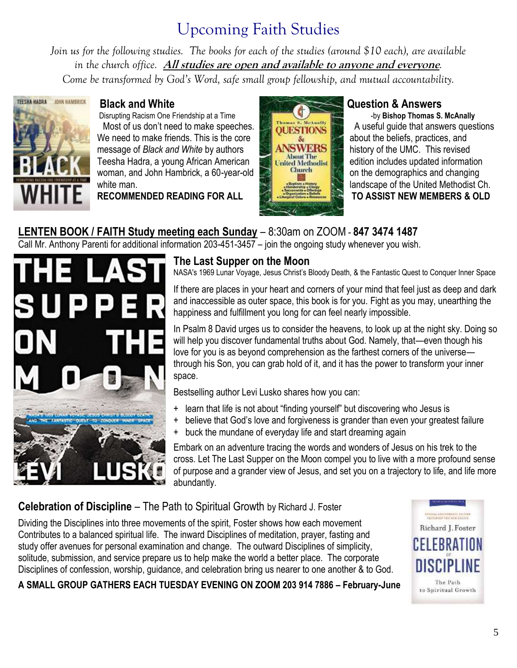# Upcoming Faith Studies

*Join us for the following studies. The books for each of the studies (around \$10 each), are available in the church office.* **All studies are open and available to anyone and everyone***. Come be transformed by God's Word, safe small group fellowship, and mutual accountability.* 



Disrupting Racism One Friendship at a Time **of the Contract of the State of Thomas S. McAnally** Most of us don't need to make speeches. **A UNITED STIONS** A useful guide that answers questions We need to make friends. This is the core about the beliefs, practices, and message of Black and White by authors message of *Black and White* by authors **history of the UMC.** This revised Teesha Hadra, a young African American **edition of the Methodist** edition includes updated information woman, and John Hambrick, a 60-year-old **Changing** Changing on the demographics and changing white man. **landscape of the United Methodist Ch.** landscape of the United Methodist Ch.



**RECOMMENDED READING FOR ALL TO ASSIST NEW MEMBERS & OLD**

# **LENTEN BOOK / FAITH Study meeting each Sunday** – 8:30am on ZOOM - **847 3474 1487**

Call Mr. Anthony Parenti for additional information 203-451-3457 – join the ongoing study whenever you wish.



# **The Last Supper on the Moon**

NASA's 1969 Lunar Voyage, Jesus Christ's Bloody Death, & the Fantastic Quest to Conquer Inner Space

If there are places in your heart and corners of your mind that feel just as deep and dark and inaccessible as outer space, this book is for you. Fight as you may, unearthing the happiness and fulfillment you long for can feel nearly impossible.

In Psalm 8 David urges us to consider the heavens, to look up at the night sky. Doing so will help you discover fundamental truths about God. Namely, that—even though his love for you is as beyond comprehension as the farthest corners of the universe through his Son, you can grab hold of it, and it has the power to transform your inner space.

Bestselling author Levi Lusko shares how you can:

- + learn that life is not about "finding yourself" but discovering who Jesus is
- + believe that God's love and forgiveness is grander than even your greatest failure
- + buck the mundane of everyday life and start dreaming again

Embark on an adventure tracing the words and wonders of Jesus on his trek to the cross. Let The Last Supper on the Moon compel you to live with a more profound sense of purpose and a grander view of Jesus, and set you on a trajectory to life, and life more abundantly.

# **Celebration of Discipline** – The Path to Spiritual Growth by Richard J. Foster

Dividing the Disciplines into three movements of the spirit, Foster shows how each movement Contributes to a balanced spiritual life. The inward Disciplines of meditation, prayer, fasting and study offer avenues for personal examination and change. The outward Disciplines of simplicity, solitude, submission, and service prepare us to help make the world a better place. The corporate Disciplines of confession, worship, guidance, and celebration bring us nearer to one another & to God.

**A SMALL GROUP GATHERS EACH TUESDAY EVENING ON ZOOM 203 914 7886 – February-June**

.<br>1944 - Denis (1944), 1940<br>1944 - Denis III, 1944 Richard J. Foster

The Path to Spiritual Growth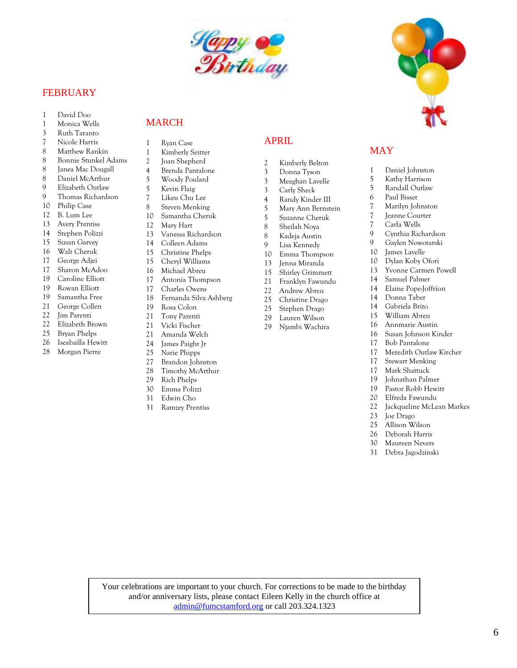

#### FEBRUARY

- 1 David Doo
- 1 Monica Wells
- 3 Ruth Taranto
- 7 Nicole Harris
- 8 Matthew Rankin
- 8 Bonnie Stunkel Adams
- 8 Janea Mac Dougall
- 8 Daniel McArthur
- 9 Elizabeth Outlaw
- 9 Thomas Richardson
- 10 Philip Case
- 12 B. Lum Lee
- 13 Avery Prentiss
- 14 Stephen Polizzi
- 15 Susan Garvey
- 16 Walt Cheruk
- 17 George Adjei
- 17 Sharon McAdoo
- 19 Caroline Elliott
- 19 Rowan Elliott
- 19 Samantha Free
- 21 George Collen
- 22 Jim Parenti
- 22 Elizabeth Brown<br>25 Brvan Phelps
- Bryan Phelps
- 26 Iseabailla Hewitt
- 28 Morgan Pierre

#### MARCH

- 1 Ryan Case
- 1 Kimberly Seitter
- 2 Joan Shepherd
- 4 Brenda Pantalone
- 5 Woody Poulard
- 5 Kevin Flaig
- 7 Likeu Chu Lee
- 8 Steven Menking
- 10 Samantha Cheruk
- 12 Mary Hart
- 13 Vanessa Richardson
- 14 Colleen Adams
- 15 Christine Phelps
- 15 Cheryl Williams
- 16 Michael Abreu
- 17 Antonia Thompson
- 17 Charles Owens
- 18 Fernanda Silva Ashberg
- 19 Rosa Colon
- 21 Tony Parenti
- 21 Vicki Fischer
- 21 Amanda Welch
- 24 James Paight Jr
- 25 Narie Phipps
- 
- 27 Brandon Johnston<br>28 Timothy McArthur Timothy McArthur
- 29 Rich Phelps
- 30 Emma Polizzi
- 31 Edwin Cho
- 31 Ramzey Prentiss

#### APRIL

- 2 Kimberly Belton
- 3 Donna Tyson
- 3 Meaghan Lavelle
- 3 Carly Sheck
- 4 Randy Kinder III
- 
- 5 Mary Ann Bernstein 5 Suzanne Cheruk
- 8 Sheilah Noya
- 8 Kadeja Austin
- 9 Lisa Kennedy
- 10 Emma Thompson
- 13 Jenna Miranda
- 15 Shirley Grimmett
- 21 Franklyn Fawundu
- 22 Andrew Abreu
- 
- 25 Christine Drago 25 Stephen Drago
- 29 Lauren Wilson
- 29 Njambi Wachira
- 
- - 16 Susan Johnson Kinder<br>17 Pak Bentalang
		- 17 Bob Pantalone
		- 17 Bob Fantaforte<br>17 Meredith Outlaw Kircher

11 Samuer Fanner<br>14 Elaine Pope-Joffrion

- 17 Stewart Menking
- 17 Mark Shattuck
- 19 Johnathan Palmer
- 19 Pastor Robb Hewitt
- 20 Elfreda Fawundu
- 22 Jackqueline McLean Markes
- 23 Joe Drago
- 25 Allison Wilson
- 26 Deborah Harris
- 30 Maureen Nevers
- 31 Debra Jagodzinski

Your celebrations are important to your church. For corrections to be made to the birthday and/or anniversary lists, please contact Eileen Kelly in the church office at [admin@fumcstamford.org](mailto:admin@fumcstamford.org) or call 203.324.1323



 $100 \text{cm}$ 

 $\frac{1}{\sqrt{2}}$  Shirley Grimmette

25 Christian Dragon<br>25 Christian Dragon<br>25 Christian Dragon en de Brezhoneg e Brezhoneg e Brezhoneg e Brezhoneg e Brezhoneg e Brezhoneg e Brezhoneg e Brezhoneg e Brezhoneg<br>Dragoneg e Brezhoneg e Brezhoneg e Brezhoneg e Brezhoneg e Brezhoneg e Brezhoneg e Brezhoneg e Brezhoneg e Bre

6

7 Marilyn Johnston 7 Jeanne Courter

1 Daniel Johnston 5 Kathy Harrison 5 Randall Outlaw 6 Paul Bisset

7 Carla Wells

10 James Lavelle 10 Dylan Koby Ofori

14 Samuel Palmer

14 Donna Taber 14 Gabriela Brito 15 William Abreu 16 Annmarie Austin

MAY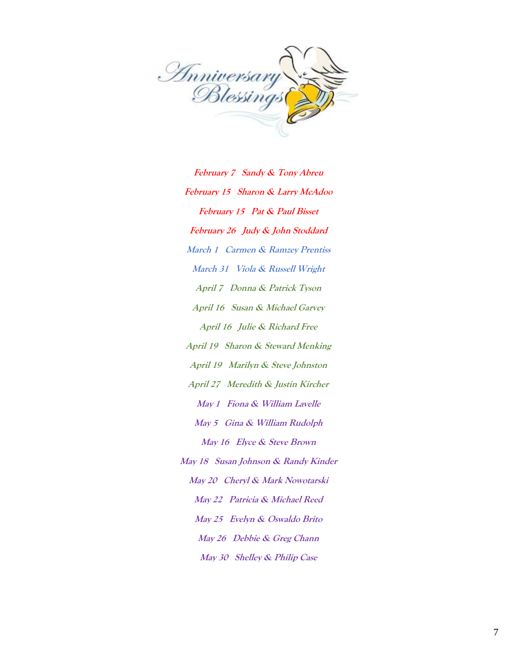

February 7 Sandy & Tony Abreu **February 15 Sharon & Larry McAdoo February 15 Pat & Paul Bisset February 26 Judy & John Stoddard March 1 Carmen & Ramzey Prentiss March 31 Viola & Russell Wright April 7 Donna & Patrick Tyson April 16 Susan & Michael Garvey April 16 Julie & Richard Free April 19 Sharon & Steward Menking April 19 Marilyn & Steve Johnston April 27 Meredith & Justin Kircher May 1 Fiona & William Lavelle May 5 Gina & William Rudolph May 16 Elyce & Steve Brown May 18 Susan Johnson & Randy Kinder May 20 Cheryl & Mark Nowotarski May 22 Patricia & Michael Reed May 25 Evelyn & Oswaldo Brito May 26 Debbie & Greg Chann May 30 Shelley & Philip Case**